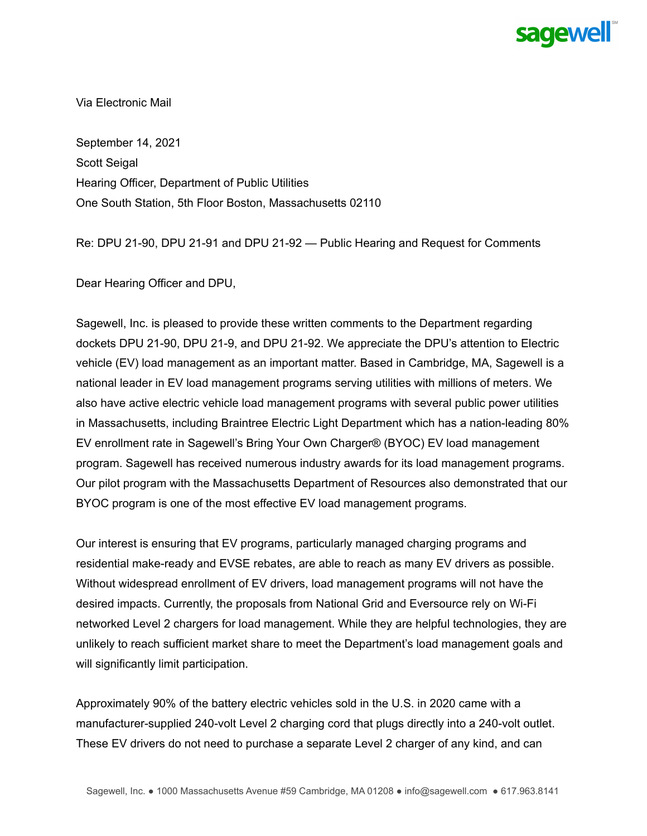

Via Electronic Mail

September 14, 2021 Scott Seigal Hearing Officer, Department of Public Utilities One South Station, 5th Floor Boston, Massachusetts 02110

Re: DPU 21-90, DPU 21-91 and DPU 21-92 — Public Hearing and Request for Comments

Dear Hearing Officer and DPU,

Sagewell, Inc. is pleased to provide these written comments to the Department regarding dockets DPU 21-90, DPU 21-9, and DPU 21-92. We appreciate the DPU's attention to Electric vehicle (EV) load management as an important matter. Based in Cambridge, MA, Sagewell is a national leader in EV load management programs serving utilities with millions of meters. We also have active electric vehicle load management programs with several public power utilities in Massachusetts, including Braintree Electric Light Department which has a nation-leading 80% EV enrollment rate in Sagewell's Bring Your Own Charger® (BYOC) EV load management program. Sagewell has received numerous industry awards for its load management programs. Our pilot program with the Massachusetts Department of Resources also demonstrated that our BYOC program is one of the most effective EV load management programs.

Our interest is ensuring that EV programs, particularly managed charging programs and residential make-ready and EVSE rebates, are able to reach as many EV drivers as possible. Without widespread enrollment of EV drivers, load management programs will not have the desired impacts. Currently, the proposals from National Grid and Eversource rely on Wi-Fi networked Level 2 chargers for load management. While they are helpful technologies, they are unlikely to reach sufficient market share to meet the Department's load management goals and will significantly limit participation.

Approximately 90% of the battery electric vehicles sold in the U.S. in 2020 came with a manufacturer-supplied 240-volt Level 2 charging cord that plugs directly into a 240-volt outlet. These EV drivers do not need to purchase a separate Level 2 charger of any kind, and can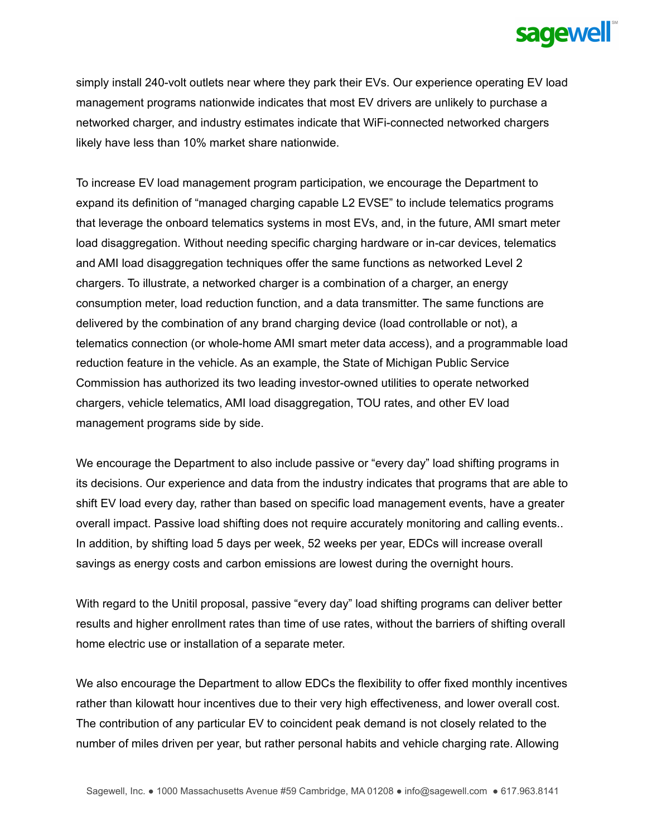

simply install 240-volt outlets near where they park their EVs. Our experience operating EV load management programs nationwide indicates that most EV drivers are unlikely to purchase a networked charger, and industry estimates indicate that WiFi-connected networked chargers likely have less than 10% market share nationwide.

To increase EV load management program participation, we encourage the Department to expand its definition of "managed charging capable L2 EVSE" to include telematics programs that leverage the onboard telematics systems in most EVs, and, in the future, AMI smart meter load disaggregation. Without needing specific charging hardware or in-car devices, telematics and AMI load disaggregation techniques offer the same functions as networked Level 2 chargers. To illustrate, a networked charger is a combination of a charger, an energy consumption meter, load reduction function, and a data transmitter. The same functions are delivered by the combination of any brand charging device (load controllable or not), a telematics connection (or whole-home AMI smart meter data access), and a programmable load reduction feature in the vehicle. As an example, the State of Michigan Public Service Commission has authorized its two leading investor-owned utilities to operate networked chargers, vehicle telematics, AMI load disaggregation, TOU rates, and other EV load management programs side by side.

We encourage the Department to also include passive or "every day" load shifting programs in its decisions. Our experience and data from the industry indicates that programs that are able to shift EV load every day, rather than based on specific load management events, have a greater overall impact. Passive load shifting does not require accurately monitoring and calling events.. In addition, by shifting load 5 days per week, 52 weeks per year, EDCs will increase overall savings as energy costs and carbon emissions are lowest during the overnight hours.

With regard to the Unitil proposal, passive "every day" load shifting programs can deliver better results and higher enrollment rates than time of use rates, without the barriers of shifting overall home electric use or installation of a separate meter.

We also encourage the Department to allow EDCs the flexibility to offer fixed monthly incentives rather than kilowatt hour incentives due to their very high effectiveness, and lower overall cost. The contribution of any particular EV to coincident peak demand is not closely related to the number of miles driven per year, but rather personal habits and vehicle charging rate. Allowing